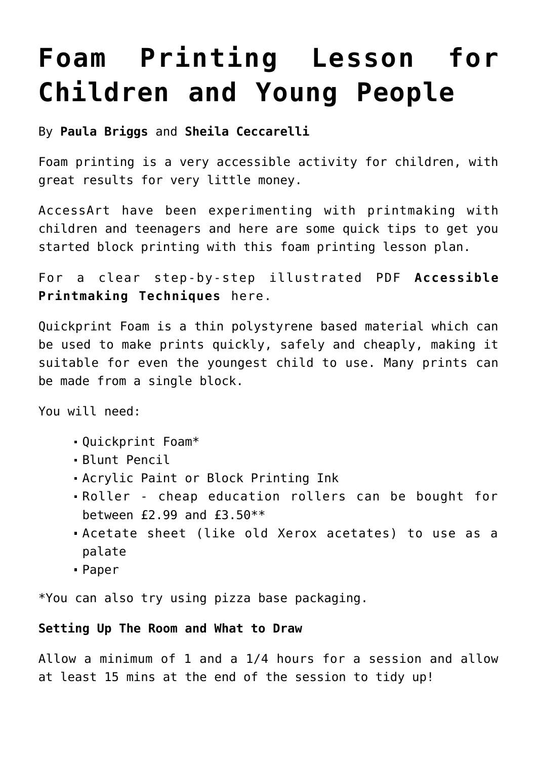# **[Foam Printing Lesson for](https://www.accessart.org.uk/tips-for-foam-printing-with-children-and-young-people/) [Children and Young People](https://www.accessart.org.uk/tips-for-foam-printing-with-children-and-young-people/)**

#### By **Paula Briggs** and **Sheila Ceccarelli**

Foam printing is a very accessible activity for children, with great results for very little money.

AccessArt have been experimenting with printmaking with children and teenagers and here are some quick tips to get you started block printing with this foam printing lesson plan.

For a clear step-by-step illustrated PDF **[Accessible](https://www.accessart.org.uk/?p=1845) [Printmaking Techniques](https://www.accessart.org.uk/?p=1845)** here.

Quickprint Foam is a thin polystyrene based material which can be used to make prints quickly, safely and cheaply, making it suitable for even the youngest child to use. Many prints can be made from a single block.

You will need:

- Quickprint Foam\*
- Blunt Pencil
- Acrylic Paint or Block Printing Ink
- Roller cheap education rollers can be bought for between £2.99 and £3.50\*\*
- Acetate sheet (like old Xerox acetates) to use as a palate
- Paper

\*You can also try using pizza base packaging.

#### **Setting Up The Room and What to Draw**

Allow a minimum of 1 and a 1/4 hours for a session and allow at least 15 mins at the end of the session to tidy up!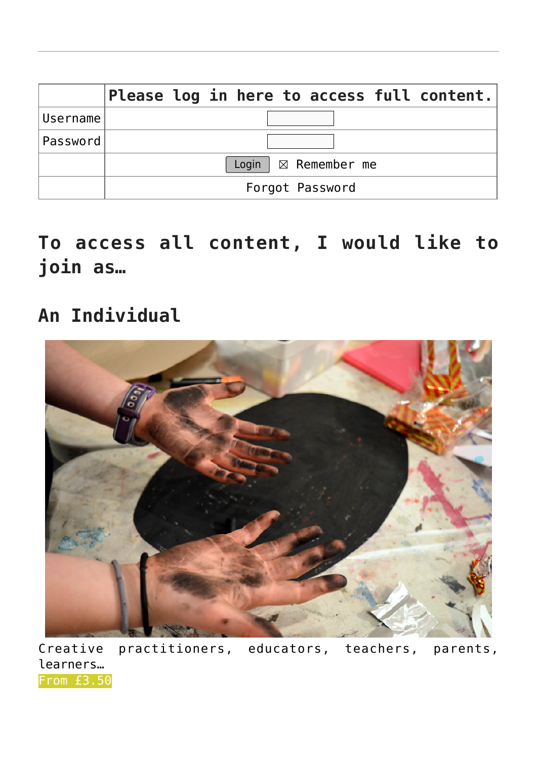|          | Please log in here to access full content. |
|----------|--------------------------------------------|
| Username |                                            |
| Password |                                            |
|          | Login $\mid \boxtimes$ Remember me         |
|          | Forgot Password                            |

**To access all content, I would like to join as…**

### **An Individual**



Creative practitioners, educators, teachers, parents, learners… [From £3.50](https://www.accessart.org.uk/individual-membership/)